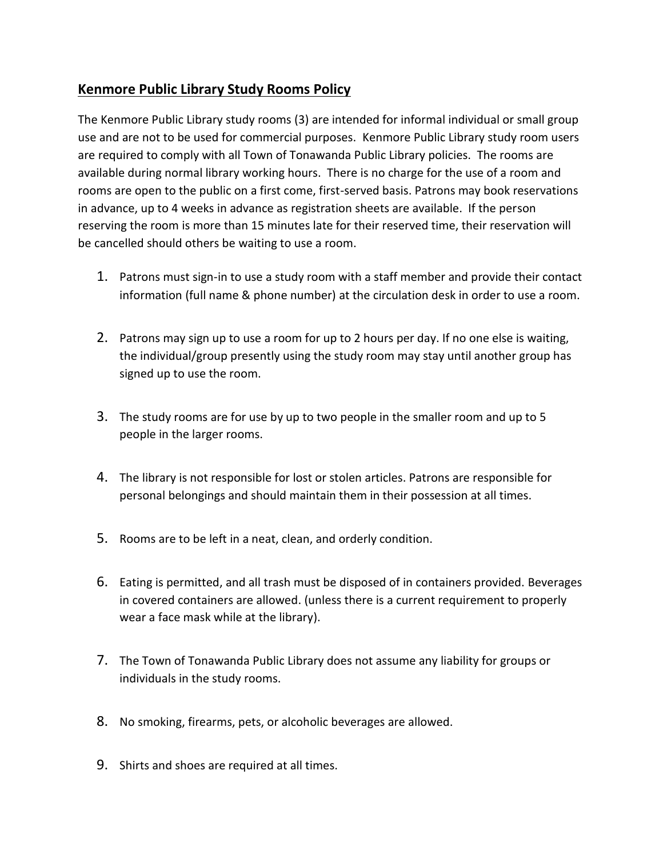## **Kenmore Public Library Study Rooms Policy**

The Kenmore Public Library study rooms (3) are intended for informal individual or small group use and are not to be used for commercial purposes. Kenmore Public Library study room users are required to comply with all Town of Tonawanda Public Library policies. The rooms are available during normal library working hours. There is no charge for the use of a room and rooms are open to the public on a first come, first-served basis. Patrons may book reservations in advance, up to 4 weeks in advance as registration sheets are available. If the person reserving the room is more than 15 minutes late for their reserved time, their reservation will be cancelled should others be waiting to use a room.

- 1. Patrons must sign-in to use a study room with a staff member and provide their contact information (full name & phone number) at the circulation desk in order to use a room.
- 2. Patrons may sign up to use a room for up to 2 hours per day. If no one else is waiting, the individual/group presently using the study room may stay until another group has signed up to use the room.
- 3. The study rooms are for use by up to two people in the smaller room and up to 5 people in the larger rooms.
- 4. The library is not responsible for lost or stolen articles. Patrons are responsible for personal belongings and should maintain them in their possession at all times.
- 5. Rooms are to be left in a neat, clean, and orderly condition.
- 6. Eating is permitted, and all trash must be disposed of in containers provided. Beverages in covered containers are allowed. (unless there is a current requirement to properly wear a face mask while at the library).
- 7. The Town of Tonawanda Public Library does not assume any liability for groups or individuals in the study rooms.
- 8. No smoking, firearms, pets, or alcoholic beverages are allowed.
- 9. Shirts and shoes are required at all times.